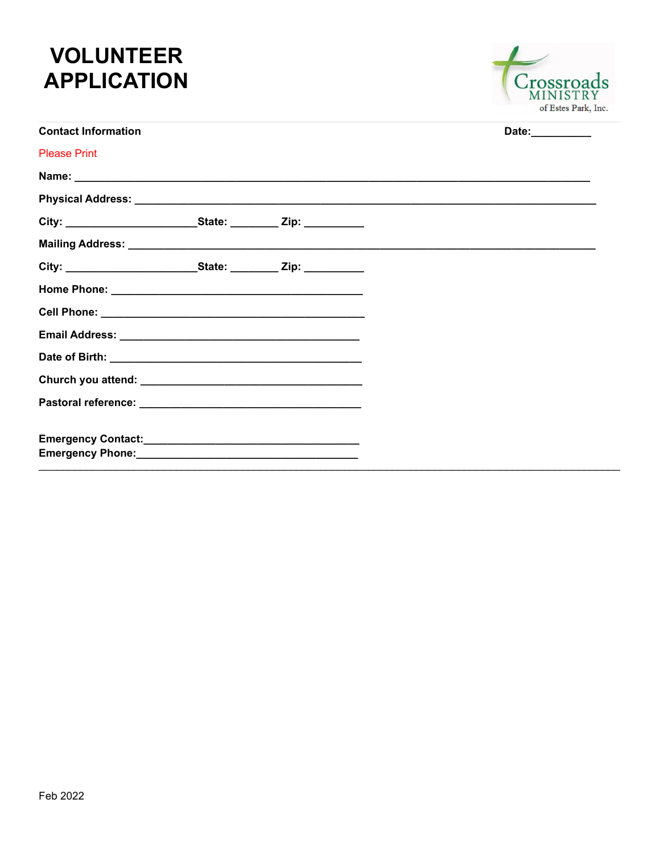# **VOLUNTEER APPLICATION**



| <b>Contact Information</b> |  | Date: |
|----------------------------|--|-------|
| <b>Please Print</b>        |  |       |
|                            |  |       |
|                            |  |       |
|                            |  |       |
|                            |  |       |
|                            |  |       |
|                            |  |       |
|                            |  |       |
|                            |  |       |
|                            |  |       |
|                            |  |       |
|                            |  |       |
|                            |  |       |
|                            |  |       |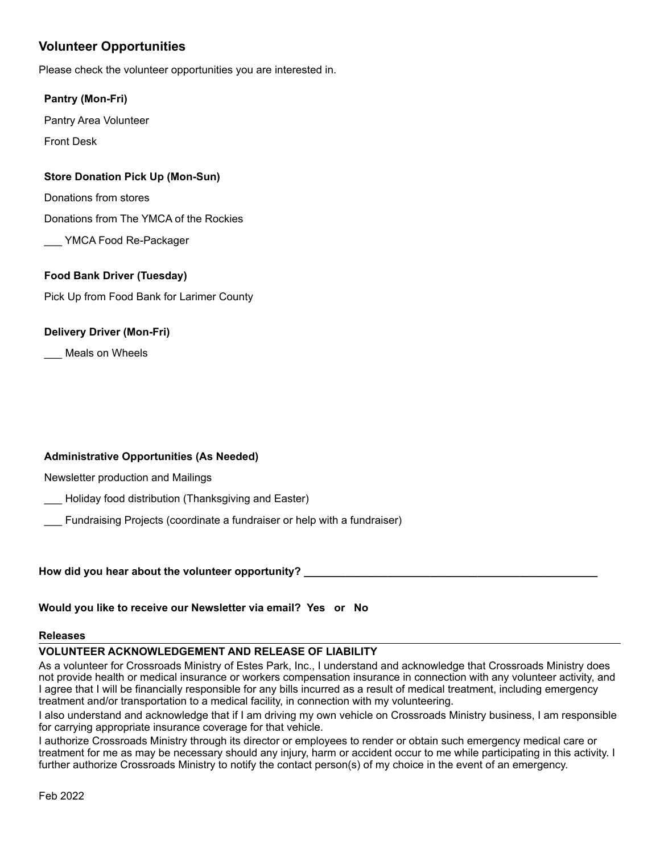# **Volunteer Opportunities**

Please check the volunteer opportunities you are interested in.

#### **Pantry (Mon-Fri)**

Pantry Area Volunteer

Front Desk

## **Store Donation Pick Up (Mon-Sun)**

Donations from stores

Donations from The YMCA of the Rockies

YMCA Food Re-Packager

# **Food Bank Driver (Tuesday)**

Pick Up from Food Bank for Larimer County

## **Delivery Driver (Mon-Fri)**

\_\_\_ Meals on Wheels

#### **Administrative Opportunities (As Needed)**

Newsletter production and Mailings

Holiday food distribution (Thanksgiving and Easter)

\_\_\_ Fundraising Projects (coordinate a fundraiser or help with a fundraiser)

How did you hear about the volunteer opportunity?

**Would you like to receive our Newsletter via email? Yes or No**

#### **Releases**

#### **VOLUNTEER ACKNOWLEDGEMENT AND RELEASE OF LIABILITY**

As a volunteer for Crossroads Ministry of Estes Park, Inc., I understand and acknowledge that Crossroads Ministry does not provide health or medical insurance or workers compensation insurance in connection with any volunteer activity, and I agree that I will be financially responsible for any bills incurred as a result of medical treatment, including emergency treatment and/or transportation to a medical facility, in connection with my volunteering.

I also understand and acknowledge that if I am driving my own vehicle on Crossroads Ministry business, I am responsible for carrying appropriate insurance coverage for that vehicle.

I authorize Crossroads Ministry through its director or employees to render or obtain such emergency medical care or treatment for me as may be necessary should any injury, harm or accident occur to me while participating in this activity. I further authorize Crossroads Ministry to notify the contact person(s) of my choice in the event of an emergency.